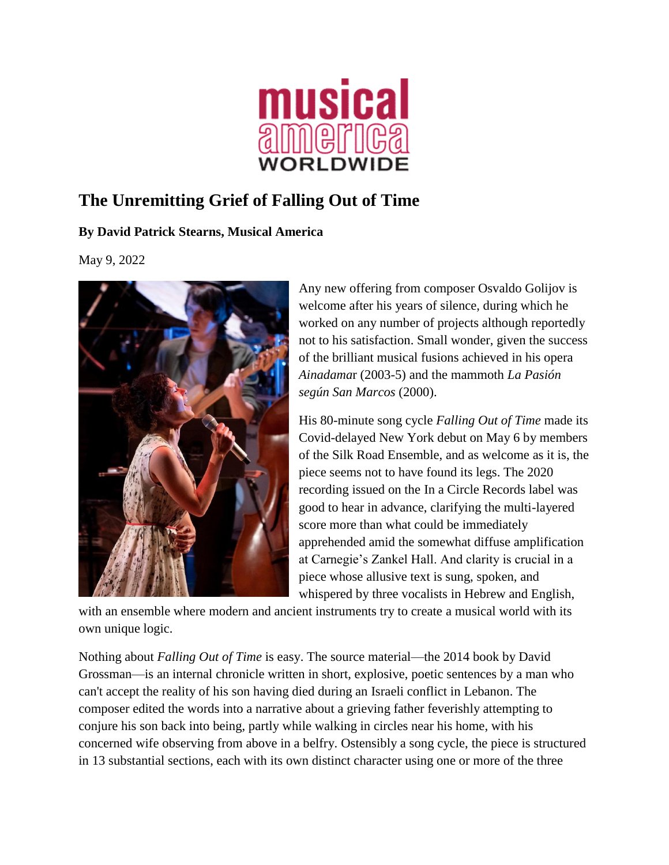

## **The Unremitting Grief of Falling Out of Time**

## **By David Patrick Stearns, Musical America**

May 9, 2022



Any new offering from composer Osvaldo Golijov is welcome after his years of silence, during which he worked on any number of projects although reportedly not to his satisfaction. Small wonder, given the success of the brilliant musical fusions achieved in his opera *Ainadama*r (2003-5) and the mammoth *La Pasión según San Marcos* (2000).

His 80-minute song cycle *Falling Out of Time* made its Covid-delayed New York debut on May 6 by members of the Silk Road Ensemble, and as welcome as it is, the piece seems not to have found its legs. The 2020 recording issued on the In a Circle Records label was good to hear in advance, clarifying the multi-layered score more than what could be immediately apprehended amid the somewhat diffuse amplification at Carnegie's Zankel Hall. And clarity is crucial in a piece whose allusive text is sung, spoken, and whispered by three vocalists in Hebrew and English,

with an ensemble where modern and ancient instruments try to create a musical world with its own unique logic.

Nothing about *Falling Out of Time* is easy. The source material—the 2014 book by David Grossman—is an internal chronicle written in short, explosive, poetic sentences by a man who can't accept the reality of his son having died during an Israeli conflict in Lebanon. The composer edited the words into a narrative about a grieving father feverishly attempting to conjure his son back into being, partly while walking in circles near his home, with his concerned wife observing from above in a belfry. Ostensibly a song cycle, the piece is structured in 13 substantial sections, each with its own distinct character using one or more of the three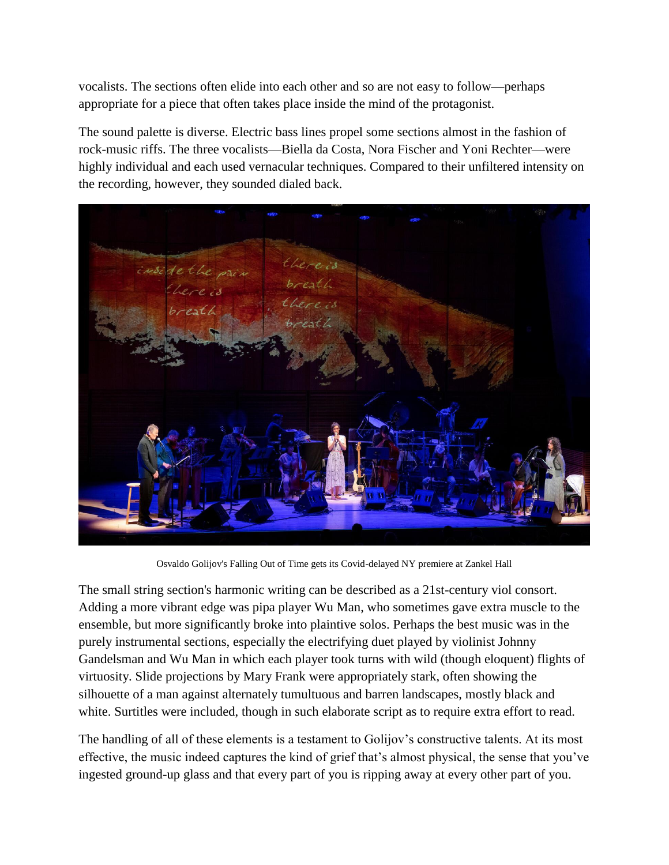vocalists. The sections often elide into each other and so are not easy to follow—perhaps appropriate for a piece that often takes place inside the mind of the protagonist.

The sound palette is diverse. Electric bass lines propel some sections almost in the fashion of rock-music riffs. The three vocalists—Biella da Costa, Nora Fischer and Yoni Rechter—were highly individual and each used vernacular techniques. Compared to their unfiltered intensity on the recording, however, they sounded dialed back.



Osvaldo Golijov's Falling Out of Time gets its Covid-delayed NY premiere at Zankel Hall

The small string section's harmonic writing can be described as a 21st-century viol consort. Adding a more vibrant edge was pipa player Wu Man, who sometimes gave extra muscle to the ensemble, but more significantly broke into plaintive solos. Perhaps the best music was in the purely instrumental sections, especially the electrifying duet played by violinist Johnny Gandelsman and Wu Man in which each player took turns with wild (though eloquent) flights of virtuosity. Slide projections by Mary Frank were appropriately stark, often showing the silhouette of a man against alternately tumultuous and barren landscapes, mostly black and white. Surtitles were included, though in such elaborate script as to require extra effort to read.

The handling of all of these elements is a testament to Golijov's constructive talents. At its most effective, the music indeed captures the kind of grief that's almost physical, the sense that you've ingested ground-up glass and that every part of you is ripping away at every other part of you.